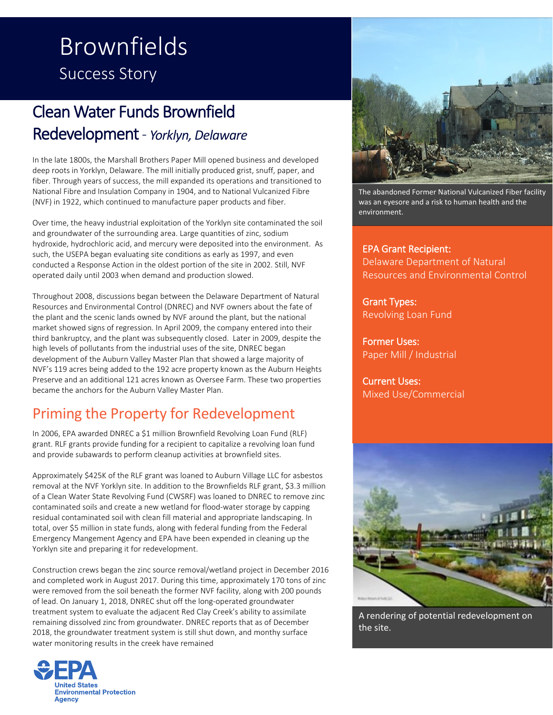# Brownfields Success Story

# Clean Water Funds Brownfield Redevelopment - *Yorklyn, Delaware*

In the late 1800s, the Marshall Brothers Paper Mill opened business and developed deep roots in Yorklyn, Delaware. The mill initially produced grist, snuff, paper, and fiber. Through years of success, the mill expanded its operations and transitioned to National Fibre and Insulation Company in 1904, and to National Vulcanized Fibre (NVF) in 1922, which continued to manufacture paper products and fiber.

Over time, the heavy industrial exploitation of the Yorklyn site contaminated the soil and groundwater of the surrounding area. Large quantities of zinc, sodium hydroxide, hydrochloric acid, and mercury were deposited into the environment. As such, the USEPA began evaluating site conditions as early as 1997, and even conducted a Response Action in the oldest portion of the site in 2002. Still, NVF operated daily until 2003 when demand and production slowed.

Throughout 2008, discussions began between the Delaware Department of Natural Resources and Environmental Control (DNREC) and NVF owners about the fate of the plant and the scenic lands owned by NVF around the plant, but the national market showed signs of regression. In April 2009, the company entered into their third bankruptcy, and the plant was subsequently closed. Later in 2009, despite the high levels of pollutants from the industrial uses of the site, DNREC began development of the Auburn Valley Master Plan that showed a large majority of NVF's 119 acres being added to the 192 acre property known as the Auburn Heights Preserve and an additional 121 acres known as Oversee Farm. These two properties became the anchors for the Auburn Valley Master Plan.

# Priming the Property for Redevelopment

In 2006, EPA awarded DNREC a \$1 million Brownfield Revolving Loan Fund (RLF) grant. RLF grants provide funding for a recipient to capitalize a revolving loan fund and provide subawards to perform cleanup activities at brownfield sites.

Approximately \$425K of the RLF grant was loaned to Auburn Village LLC for asbestos removal at the NVF Yorklyn site. In addition to the Brownfields RLF grant, \$3.3 million of a Clean Water State Revolving Fund (CWSRF) was loaned to DNREC to remove zinc contaminated soils and create a new wetland for flood-water storage by capping residual contaminated soil with clean fill material and appropriate landscaping. In total, over \$5 million in state funds, along with federal funding from the Federal Emergency Mangement Agency and EPA have been expended in cleaning up the Yorklyn site and preparing it for redevelopment.

Construction crews began the zinc source removal/wetland project in December 2016 and completed work in August 2017. During this time, approximately 170 tons of zinc were removed from the soil beneath the former NVF facility, along with 200 pounds of lead. On January 1, 2018, DNREC shut off the long-operated groundwater treatment system to evaluate the adjacent Red Clay Creek's ability to assimilate remaining dissolved zinc from groundwater. DNREC reports that as of December 2018, the groundwater treatment system is still shut down, and monthy surface water monitoring results in the creek have remained





The abandoned Former National Vulcanized Fiber facility was an eyesore and a risk to human health and the environment.

EPA Grant Recipient: Delaware Department of Natural Resources and Environmental Control

Grant Types: Revolving Loan Fund

Former Uses: Paper Mill / Industrial

Current Uses: Mixed Use/Commercial



A rendering of potential redevelopment on the site.